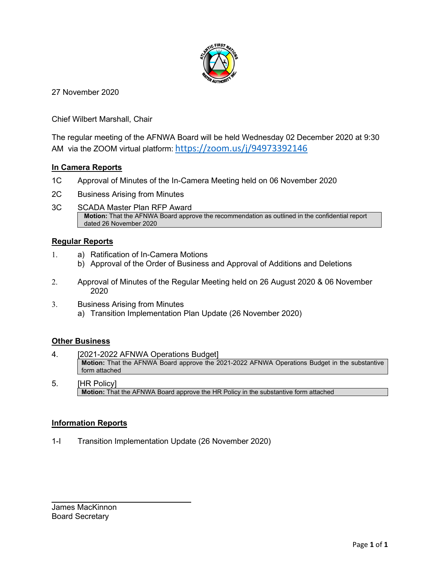

27 November 2020

Chief Wilbert Marshall, Chair

The regular meeting of the AFNWA Board will be held Wednesday 02 December 2020 at 9:30 AM via the ZOOM virtual platform: <https://zoom.us/j/94973392146>

#### **In Camera Reports**

- 1C Approval of Minutes of the In-Camera Meeting held on 06 November 2020
- 2C Business Arising from Minutes
- 3C SCADA Master Plan RFP Award **Motion:** That the AFNWA Board approve the recommendation as outlined in the confidential report dated 26 November 2020

#### **Regular Reports**

- 1. a) Ratification of In-Camera Motions
	- b) Approval of the Order of Business and Approval of Additions and Deletions
- 2. Approval of Minutes of the Regular Meeting held on 26 August 2020 & 06 November 2020
- 3. Business Arising from Minutes a) Transition Implementation Plan Update (26 November 2020)

#### **Other Business**

- 4. [2021-2022 AFNWA Operations Budget] **Motion:** That the AFNWA Board approve the 2021-2022 AFNWA Operations Budget in the substantive form attached
- 5. [HR Policy] **Motion:** That the AFNWA Board approve the HR Policy in the substantive form attached

#### **Information Reports**

1-I Transition Implementation Update (26 November 2020)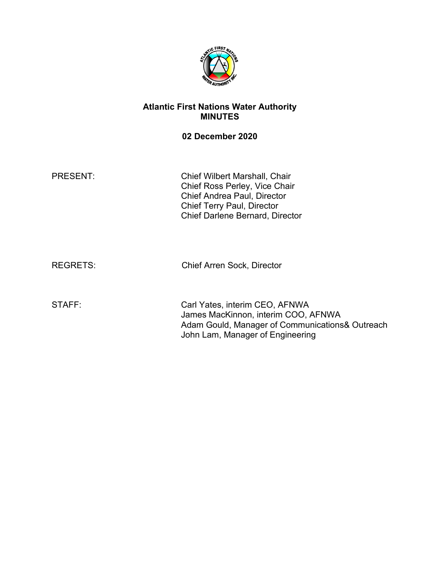

### **Atlantic First Nations Water Authority MINUTES**

### **02 December 2020**

PRESENT: Chief Wilbert Marshall, Chair Chief Ross Perley, Vice Chair Chief Andrea Paul, Director Chief Terry Paul, Director Chief Darlene Bernard, Director

REGRETS: Chief Arren Sock, Director

STAFF: Carl Yates, interim CEO, AFNWA James MacKinnon, interim COO, AFNWA Adam Gould, Manager of Communications& Outreach John Lam, Manager of Engineering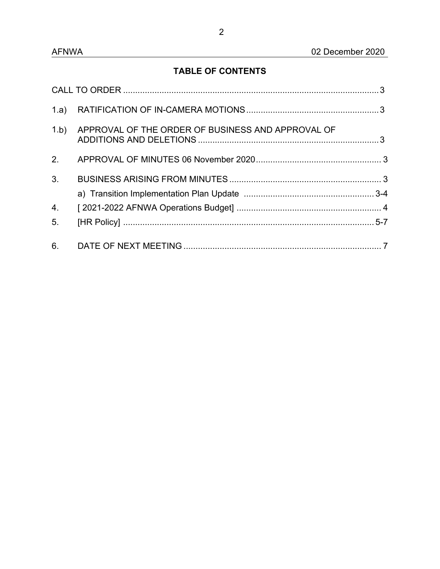# **TABLE OF CONTENTS**

| 1.b)             | APPROVAL OF THE ORDER OF BUSINESS AND APPROVAL OF |  |
|------------------|---------------------------------------------------|--|
| 2 <sub>1</sub>   |                                                   |  |
| 3.               |                                                   |  |
| $\overline{4}$ . |                                                   |  |
| 5.               |                                                   |  |
| 6.               |                                                   |  |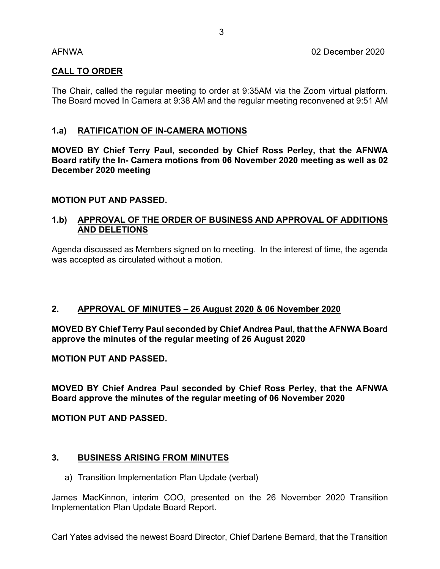### **CALL TO ORDER**

The Chair, called the regular meeting to order at 9:35AM via the Zoom virtual platform. The Board moved In Camera at 9:38 AM and the regular meeting reconvened at 9:51 AM

### **1.a) RATIFICATION OF IN-CAMERA MOTIONS**

**MOVED BY Chief Terry Paul, seconded by Chief Ross Perley, that the AFNWA Board ratify the In- Camera motions from 06 November 2020 meeting as well as 02 December 2020 meeting**

### **MOTION PUT AND PASSED.**

### **1.b) APPROVAL OF THE ORDER OF BUSINESS AND APPROVAL OF ADDITIONS AND DELETIONS**

Agenda discussed as Members signed on to meeting. In the interest of time, the agenda was accepted as circulated without a motion.

### **2. APPROVAL OF MINUTES – 26 August 2020 & 06 November 2020**

**MOVED BY Chief Terry Paul seconded by Chief Andrea Paul, that the AFNWA Board approve the minutes of the regular meeting of 26 August 2020** 

**MOTION PUT AND PASSED.**

**MOVED BY Chief Andrea Paul seconded by Chief Ross Perley, that the AFNWA Board approve the minutes of the regular meeting of 06 November 2020** 

**MOTION PUT AND PASSED.**

### **3. BUSINESS ARISING FROM MINUTES**

a) Transition Implementation Plan Update (verbal)

James MacKinnon, interim COO, presented on the 26 November 2020 Transition Implementation Plan Update Board Report.

Carl Yates advised the newest Board Director, Chief Darlene Bernard, that the Transition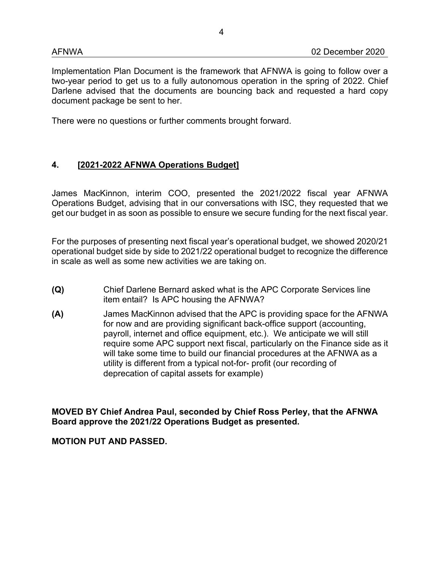Implementation Plan Document is the framework that AFNWA is going to follow over a two-year period to get us to a fully autonomous operation in the spring of 2022. Chief Darlene advised that the documents are bouncing back and requested a hard copy document package be sent to her.

There were no questions or further comments brought forward.

## **4. [2021-2022 AFNWA Operations Budget]**

James MacKinnon, interim COO, presented the 2021/2022 fiscal year AFNWA Operations Budget, advising that in our conversations with ISC, they requested that we get our budget in as soon as possible to ensure we secure funding for the next fiscal year.

For the purposes of presenting next fiscal year's operational budget, we showed 2020/21 operational budget side by side to 2021/22 operational budget to recognize the difference in scale as well as some new activities we are taking on.

- **(Q)** Chief Darlene Bernard asked what is the APC Corporate Services line item entail? Is APC housing the AFNWA?
- **(A)** James MacKinnon advised that the APC is providing space for the AFNWA for now and are providing significant back-office support (accounting, payroll, internet and office equipment, etc.). We anticipate we will still require some APC support next fiscal, particularly on the Finance side as it will take some time to build our financial procedures at the AFNWA as a utility is different from a typical not-for- profit (our recording of deprecation of capital assets for example)

**MOVED BY Chief Andrea Paul, seconded by Chief Ross Perley, that the AFNWA Board approve the 2021/22 Operations Budget as presented.**

**MOTION PUT AND PASSED.**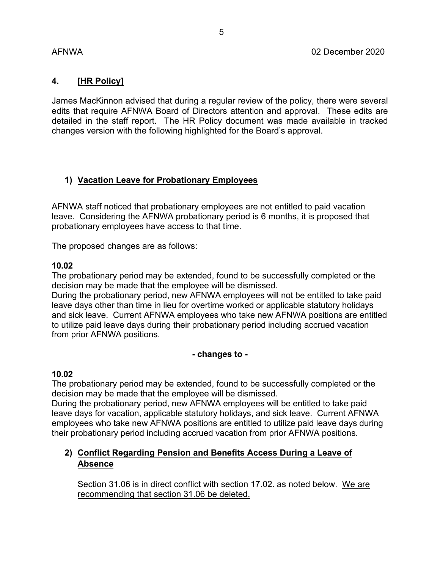### **4. [HR Policy]**

James MacKinnon advised that during a regular review of the policy, there were several edits that require AFNWA Board of Directors attention and approval. These edits are detailed in the staff report. The HR Policy document was made available in tracked changes version with the following highlighted for the Board's approval.

## **1) Vacation Leave for Probationary Employees**

AFNWA staff noticed that probationary employees are not entitled to paid vacation leave. Considering the AFNWA probationary period is 6 months, it is proposed that probationary employees have access to that time.

The proposed changes are as follows:

#### **10.02**

The probationary period may be extended, found to be successfully completed or the decision may be made that the employee will be dismissed.

During the probationary period, new AFNWA employees will not be entitled to take paid leave days other than time in lieu for overtime worked or applicable statutory holidays and sick leave. Current AFNWA employees who take new AFNWA positions are entitled to utilize paid leave days during their probationary period including accrued vacation from prior AFNWA positions.

### **- changes to -**

### **10.02**

The probationary period may be extended, found to be successfully completed or the decision may be made that the employee will be dismissed.

During the probationary period, new AFNWA employees will be entitled to take paid leave days for vacation, applicable statutory holidays, and sick leave. Current AFNWA employees who take new AFNWA positions are entitled to utilize paid leave days during their probationary period including accrued vacation from prior AFNWA positions.

### **2) Conflict Regarding Pension and Benefits Access During a Leave of Absence**

Section 31.06 is in direct conflict with section 17.02. as noted below. We are recommending that section 31.06 be deleted.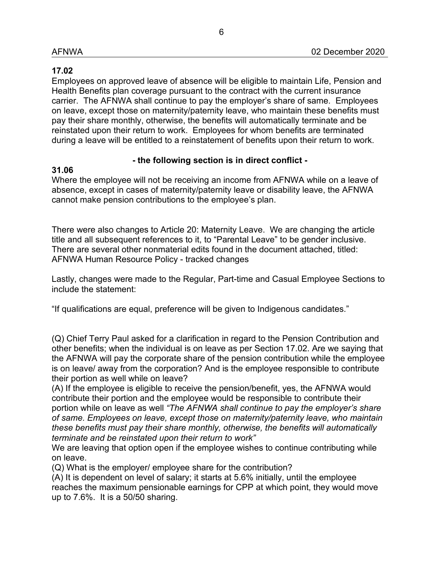### **17.02**

Employees on approved leave of absence will be eligible to maintain Life, Pension and Health Benefits plan coverage pursuant to the contract with the current insurance carrier. The AFNWA shall continue to pay the employer's share of same. Employees on leave, except those on maternity/paternity leave, who maintain these benefits must pay their share monthly, otherwise, the benefits will automatically terminate and be reinstated upon their return to work. Employees for whom benefits are terminated during a leave will be entitled to a reinstatement of benefits upon their return to work.

### **- the following section is in direct conflict -**

### **31.06**

Where the employee will not be receiving an income from AFNWA while on a leave of absence, except in cases of maternity/paternity leave or disability leave, the AFNWA cannot make pension contributions to the employee's plan.

There were also changes to Article 20: Maternity Leave. We are changing the article title and all subsequent references to it, to "Parental Leave" to be gender inclusive. There are several other nonmaterial edits found in the document attached, titled: AFNWA Human Resource Policy - tracked changes

Lastly, changes were made to the Regular, Part-time and Casual Employee Sections to include the statement:

"If qualifications are equal, preference will be given to Indigenous candidates."

(Q) Chief Terry Paul asked for a clarification in regard to the Pension Contribution and other benefits; when the individual is on leave as per Section 17.02. Are we saying that the AFNWA will pay the corporate share of the pension contribution while the employee is on leave/ away from the corporation? And is the employee responsible to contribute their portion as well while on leave?

(A) If the employee is eligible to receive the pension/benefit, yes, the AFNWA would contribute their portion and the employee would be responsible to contribute their portion while on leave as well *"The AFNWA shall continue to pay the employer's share of same. Employees on leave, except those on maternity/paternity leave, who maintain these benefits must pay their share monthly, otherwise, the benefits will automatically terminate and be reinstated upon their return to work"*

We are leaving that option open if the employee wishes to continue contributing while on leave.

(Q) What is the employer/ employee share for the contribution?

(A) It is dependent on level of salary; it starts at 5.6% initially, until the employee reaches the maximum pensionable earnings for CPP at which point, they would move up to 7.6%. It is a 50/50 sharing.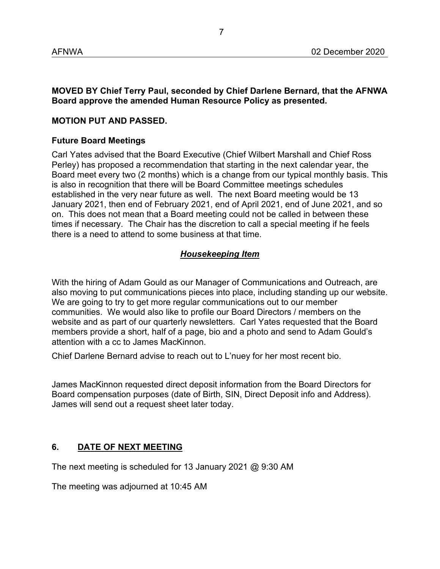**MOVED BY Chief Terry Paul, seconded by Chief Darlene Bernard, that the AFNWA Board approve the amended Human Resource Policy as presented.**

### **MOTION PUT AND PASSED.**

#### **Future Board Meetings**

Carl Yates advised that the Board Executive (Chief Wilbert Marshall and Chief Ross Perley) has proposed a recommendation that starting in the next calendar year, the Board meet every two (2 months) which is a change from our typical monthly basis. This is also in recognition that there will be Board Committee meetings schedules established in the very near future as well. The next Board meeting would be 13 January 2021, then end of February 2021, end of April 2021, end of June 2021, and so on. This does not mean that a Board meeting could not be called in between these times if necessary. The Chair has the discretion to call a special meeting if he feels there is a need to attend to some business at that time.

### *Housekeeping Item*

With the hiring of Adam Gould as our Manager of Communications and Outreach, are also moving to put communications pieces into place, including standing up our website. We are going to try to get more regular communications out to our member communities. We would also like to profile our Board Directors / members on the website and as part of our quarterly newsletters. Carl Yates requested that the Board members provide a short, half of a page, bio and a photo and send to Adam Gould's attention with a cc to James MacKinnon.

Chief Darlene Bernard advise to reach out to L'nuey for her most recent bio.

James MacKinnon requested direct deposit information from the Board Directors for Board compensation purposes (date of Birth, SIN, Direct Deposit info and Address). James will send out a request sheet later today.

### **6. DATE OF NEXT MEETING**

The next meeting is scheduled for 13 January 2021 @ 9:30 AM

The meeting was adjourned at 10:45 AM